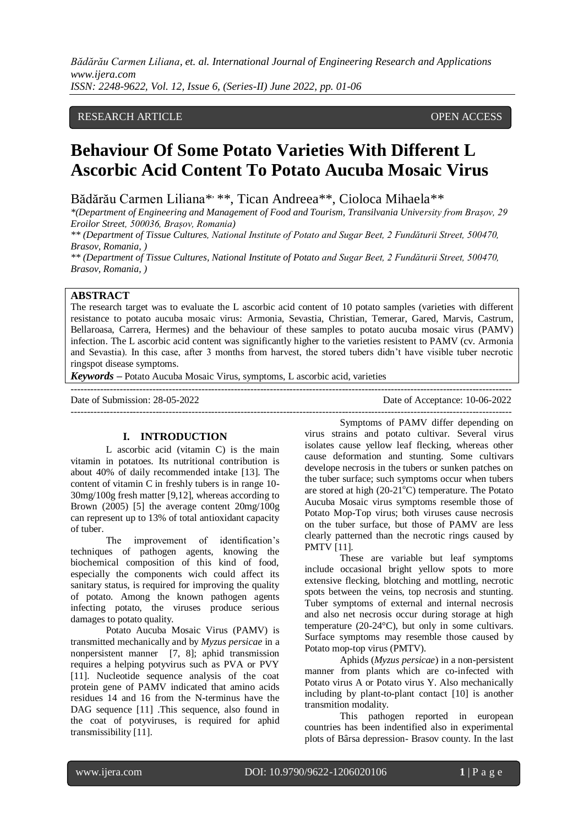#### RESEARCH ARTICLE **OPEN ACCESS**

# **Behaviour Of Some Potato Varieties With Different L Ascorbic Acid Content To Potato Aucuba Mosaic Virus**

Bădărău Carmen Liliana\*<sup>\*</sup>\*, Tican Andreea<sup>\*\*</sup>, Cioloca Mihaela<sup>\*\*</sup>

*\*(Department of Engineering and Management of Food and Tourism, Transilvania University from Brașov, 29 Eroilor Street, 500036, Brașov, Romania)*

*\*\* (Department of Tissue Cultures, National Institute of Potato and Sugar Beet, 2 Fundăturii Street, 500470, Brasov, Romania, )*

*\*\* (Department of Tissue Cultures, National Institute of Potato and Sugar Beet, 2 Fundăturii Street, 500470, Brasov, Romania, )*

# **ABSTRACT**

The research target was to evaluate the L ascorbic acid content of 10 potato samples (varieties with different resistance to potato aucuba mosaic virus: Armonia, Sevastia, Christian, Temerar, Gared, Marvis, Castrum, Bellaroasa, Carrera, Hermes) and the behaviour of these samples to potato aucuba mosaic virus (PAMV) infection. The L ascorbic acid content was significantly higher to the varieties resistent to PAMV (cv. Armonia and Sevastia). In this case, after 3 months from harvest, the stored tubers didn't have visible tuber necrotic ringspot disease symptoms.

---------------------------------------------------------------------------------------------------------------------------------------

---------------------------------------------------------------------------------------------------------------------------------------

*Keywords* **–** Potato Aucuba Mosaic Virus, symptoms, L ascorbic acid, varieties

Date of Submission: 28-05-2022 Date of Acceptance: 10-06-2022

#### **I. INTRODUCTION**

L ascorbic acid (vitamin C) is the main vitamin in potatoes. Its nutritional contribution is about 40% of daily recommended intake [13]. The content of vitamin C in freshly tubers is in range 10- 30mg/100g fresh matter [9,12], whereas according to Brown (2005) [5] the average content 20mg/100g can represent up to 13% of total antioxidant capacity of tuber.

The improvement of identification's techniques of pathogen agents, knowing the biochemical composition of this kind of food, especially the components wich could affect its sanitary status, is required for improving the quality of potato. Among the known pathogen agents infecting potato, the viruses produce serious damages to potato quality.

Potato Aucuba Mosaic Virus (PAMV) is transmitted mechanically and by *Myzus persicae* in a nonpersistent manner [7, 8]; aphid transmission requires a helping potyvirus such as PVA or PVY [11]. Nucleotide sequence analysis of the coat protein gene of PAMV indicated that amino acids residues 14 and 16 from the N-terminus have the DAG sequence [11] .This sequence, also found in the coat of potyviruses, is required for aphid transmissibility [11].

Symptoms of PAMV differ depending on virus strains and potato cultivar. Several virus isolates cause yellow leaf flecking, whereas other cause deformation and stunting. Some cultivars develope necrosis in the tubers or sunken patches on the tuber surface; such symptoms occur when tubers are stored at high  $(20-21^{\circ}C)$  temperature. The Potato Aucuba Mosaic virus symptoms resemble those of Potato Mop-Top virus; both viruses cause necrosis on the tuber surface, but those of PAMV are less clearly patterned than the necrotic rings caused by PMTV [11].

These are variable but leaf symptoms include occasional bright yellow spots to more extensive flecking, blotching and mottling, necrotic spots between the veins, top necrosis and stunting. Tuber symptoms of external and internal necrosis and also net necrosis occur during storage at high temperature (20-24°C), but only in some cultivars. Surface symptoms may resemble those caused by Potato mop-top virus (PMTV).

Aphids (*Myzus persicae*) in a non-persistent manner from plants which are co-infected with Potato virus A or Potato virus Y. Also mechanically including by plant-to-plant contact [10] is another transmition modality.

This pathogen reported in european countries has been indentified also in experimental plots of Bârsa depression- Brasov county. In the last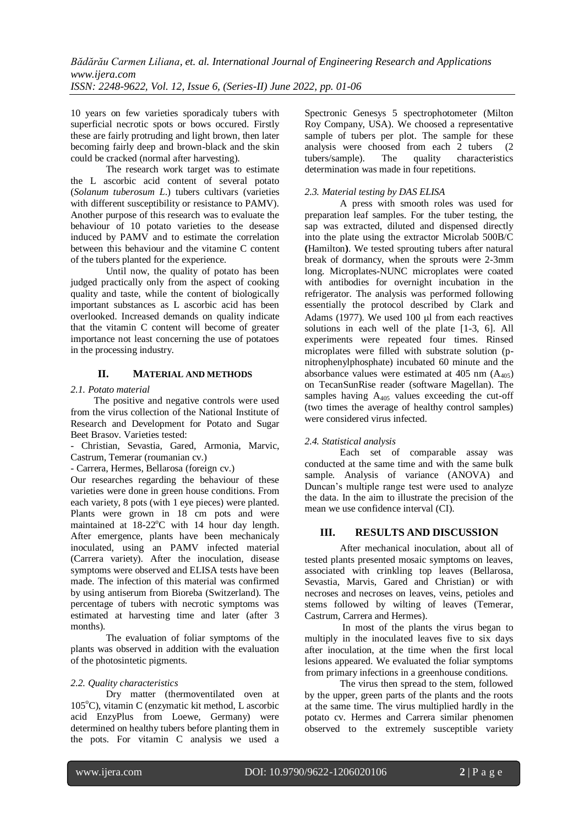10 years on few varieties sporadicaly tubers with superficial necrotic spots or bows occured. Firstly these are fairly protruding and light brown, then later becoming fairly deep and brown-black and the skin could be cracked (normal after harvesting).

The research work target was to estimate the L ascorbic acid content of several potato (*Solanum tuberosum L*.) tubers cultivars (varieties with different susceptibility or resistance to PAMV). Another purpose of this research was to evaluate the behaviour of 10 potato varieties to the desease induced by PAMV and to estimate the correlation between this behaviour and the vitamine C content of the tubers planted for the experience.

Until now, the quality of potato has been judged practically only from the aspect of cooking quality and taste, while the content of biologically important substances as L ascorbic acid has been overlooked. Increased demands on quality indicate that the vitamin C content will become of greater importance not least concerning the use of potatoes in the processing industry.

## **II. MATERIAL AND METHODS**

#### *2.1. Potato material*

The positive and negative controls were used from the virus collection of the National Institute of Research and Development for Potato and Sugar Beet Brasov. Varieties tested:

- Christian, Sevastia, Gared, Armonia, Marvic, Castrum, Temerar (roumanian cv.)

- Carrera, Hermes, Bellarosa (foreign cv.)

Our researches regarding the behaviour of these varieties were done in green house conditions. From each variety, 8 pots (with 1 eye pieces) were planted. Plants were grown in 18 cm pots and were maintained at  $18-22$ <sup>o</sup>C with 14 hour day length. After emergence, plants have been mechanicaly inoculated, using an PAMV infected material (Carrera variety). After the inoculation, disease symptoms were observed and ELISA tests have been made. The infection of this material was confirmed by using antiserum from Bioreba (Switzerland). The percentage of tubers with necrotic symptoms was estimated at harvesting time and later (after 3 months).

The evaluation of foliar symptoms of the plants was observed in addition with the evaluation of the photosintetic pigments.

#### *2.2. Quality characteristics*

Dry matter (thermoventilated oven at 105°C), vitamin C (enzymatic kit method, L ascorbic acid EnzyPlus from Loewe, Germany) were determined on healthy tubers before planting them in the pots. For vitamin C analysis we used a

Spectronic Genesys 5 spectrophotometer (Milton Roy Company, USA). We choosed a representative sample of tubers per plot. The sample for these analysis were choosed from each 2 tubers (2 tubers/sample). The quality characteristics determination was made in four repetitions.

#### *2.3. Material testing by DAS ELISA*

A press with smooth roles was used for preparation leaf samples. For the tuber testing, the sap was extracted, diluted and dispensed directly into the plate using the extractor Microlab 500B/C **(**Hamilton**)**. We tested sprouting tubers after natural break of dormancy, when the sprouts were 2-3mm long. Microplates-NUNC microplates were coated with antibodies for overnight incubation in the refrigerator. The analysis was performed following essentially the protocol described by Clark and Adams (1977). We used  $100 \mu$  from each reactives solutions in each well of the plate [1-3, 6]. All experiments were repeated four times. Rinsed microplates were filled with substrate solution (pnitrophenylphosphate) incubated 60 minute and the absorbance values were estimated at  $405 \text{ nm}$  (A<sub>405</sub>) on TecanSunRise reader (software Magellan). The samples having  $A_{405}$  values exceeding the cut-off (two times the average of healthy control samples) were considered virus infected.

#### *2.4. Statistical analysis*

Each set of comparable assay was conducted at the same time and with the same bulk sample. Analysis of variance (ANOVA) and Duncan's multiple range test were used to analyze the data. In the aim to illustrate the precision of the mean we use confidence interval (CI).

#### **III. RESULTS AND DISCUSSION**

After mechanical inoculation, about all of tested plants presented mosaic symptoms on leaves, associated with crinkling top leaves (Bellarosa, Sevastia, Marvis, Gared and Christian) or with necroses and necroses on leaves, veins, petioles and stems followed by wilting of leaves (Temerar, Castrum, Carrera and Hermes).

In most of the plants the virus began to multiply in the inoculated leaves five to six days after inoculation, at the time when the first local lesions appeared. We evaluated the foliar symptoms from primary infections in a greenhouse conditions.

The virus then spread to the stem, followed by the upper, green parts of the plants and the roots at the same time. The virus multiplied hardly in the potato cv. Hermes and Carrera similar phenomen observed to the extremely susceptible variety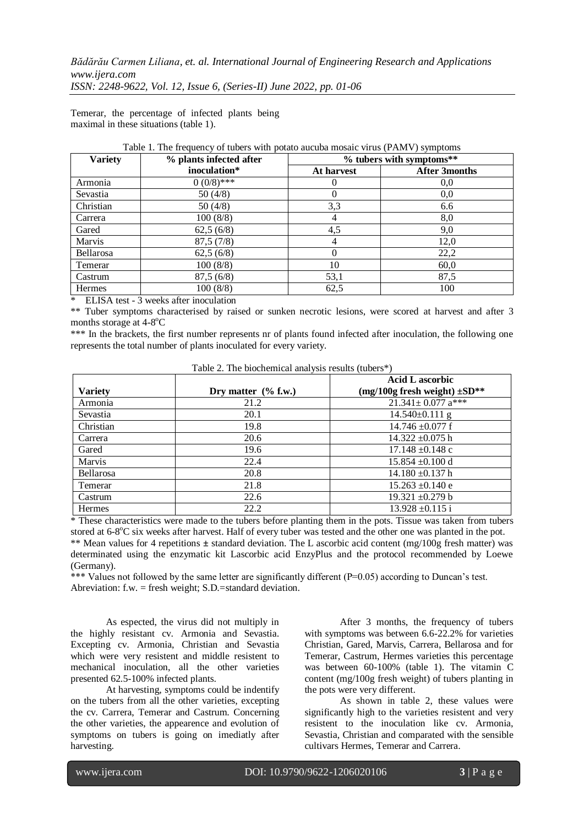Temerar, the percentage of infected plants being maximal in these situations (table 1).

| <b>Variety</b>   | % plants infected after | % tubers with symptoms** |                      |  |
|------------------|-------------------------|--------------------------|----------------------|--|
|                  | inoculation*            | At harvest               | <b>After 3months</b> |  |
| Armonia          | $0(0/8)$ ***            |                          | 0.0                  |  |
| Sevastia         | 50(4/8)                 |                          | 0,0                  |  |
| Christian        | 50 $(4/8)$              | 3,3                      | 6.6                  |  |
| Carrera          | 100(8/8)                | 4                        | 8,0                  |  |
| Gared            | 62,5(6/8)               | 4,5                      | 9,0                  |  |
| Marvis           | 87,5(7/8)               | 4                        | 12,0                 |  |
| <b>Bellarosa</b> | 62,5(6/8)               | $\Omega$                 | 22,2                 |  |
| Temerar          | 100(8/8)                | 10                       | 60,0                 |  |
| Castrum          | 87,5(6/8)               | 53,1                     | 87,5                 |  |
| <b>Hermes</b>    | 100(8/8)                | 62,5                     | 100                  |  |

Table 1. The frequency of tubers with potato aucuba mosaic virus (PAMV) symptoms

\* ELISA test - 3 weeks after inoculation

\*\* Tuber symptoms characterised by raised or sunken necrotic lesions, were scored at harvest and after 3 months storage at  $4-8$ <sup>o</sup>C

\*\*\* In the brackets, the first number represents nr of plants found infected after inoculation, the following one represents the total number of plants inoculated for every variety.

| $1$ able $2$ . The blochemical analysis results (tubers $\frac{1}{2}$ ) |                        |                                                                  |  |  |
|-------------------------------------------------------------------------|------------------------|------------------------------------------------------------------|--|--|
| <b>Variety</b>                                                          | Dry matter $(\%$ f.w.) | <b>Acid L</b> ascorbic<br>$(mg/100g$ fresh weight) $\pm SD^{**}$ |  |  |
|                                                                         | 21.2                   | 21.341± 0.077 $a***$                                             |  |  |
| Armonia                                                                 |                        |                                                                  |  |  |
| Sevastia                                                                | 20.1                   | $14.540\pm0.111$ g                                               |  |  |
| Christian                                                               | 19.8                   | $14.746 \pm 0.077$ f                                             |  |  |
| Carrera                                                                 | 20.6                   | $14.322 \pm 0.075$ h                                             |  |  |
| Gared                                                                   | 19.6                   | $17.148 \pm 0.148$ c                                             |  |  |
| Marvis                                                                  | 22.4                   | $15.854 \pm 0.100$ d                                             |  |  |
| Bellarosa                                                               | 20.8                   | $14.180 + 0.137$ h                                               |  |  |
| Temerar                                                                 | 21.8                   | $15.263 \pm 0.140$ e                                             |  |  |
| Castrum                                                                 | 22.6                   | $19.321 \pm 0.279 b$                                             |  |  |
| <b>Hermes</b>                                                           | 22.2                   | $13.928 \pm 0.115$ i                                             |  |  |

Table 2. The biochemical analysis results (tubers\*)

\* These characteristics were made to the tubers before planting them in the pots. Tissue was taken from tubers stored at 6-8°C six weeks after harvest. Half of every tuber was tested and the other one was planted in the pot. \*\* Mean values for 4 repetitions **±** standard deviation. The L ascorbic acid content (mg/100g fresh matter) was determinated using the enzymatic kit Lascorbic acid EnzyPlus and the protocol recommended by Loewe (Germany).

\*\*\* Values not followed by the same letter are significantly different (P=0.05) according to Duncan's test. Abreviation: f.w. = fresh weight; S.D.=standard deviation.

As espected, the virus did not multiply in the highly resistant cv. Armonia and Sevastia. Excepting cv. Armonia, Christian and Sevastia which were very resistent and middle resistent to mechanical inoculation, all the other varieties presented 62.5-100% infected plants.

At harvesting, symptoms could be indentify on the tubers from all the other varieties, excepting the cv. Carrera, Temerar and Castrum. Concerning the other varieties, the appearence and evolution of symptoms on tubers is going on imediatly after harvesting.

After 3 months, the frequency of tubers with symptoms was between 6.6-22.2% for varieties Christian, Gared, Marvis, Carrera, Bellarosa and for Temerar, Castrum, Hermes varieties this percentage was between 60-100% (table 1). The vitamin C content (mg/100g fresh weight) of tubers planting in the pots were very different.

As shown in table 2, these values were significantly high to the varieties resistent and very resistent to the inoculation like cv. Armonia, Sevastia, Christian and comparated with the sensible cultivars Hermes, Temerar and Carrera.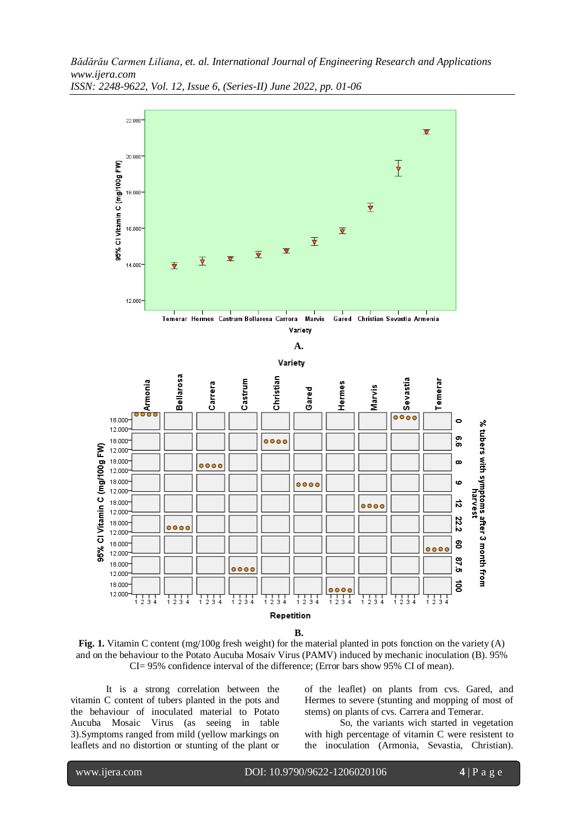

**Fig. 1.** Vitamin C content (mg/100g fresh weight) for the material planted in pots fonction on the variety (A) and on the behaviour to the Potato Aucuba Mosaiv Virus (PAMV) induced by mechanic inoculation (B). 95% CI= 95% confidence interval of the difference; (Error bars show 95% CI of mean).

It is a strong correlation between the vitamin C content of tubers planted in the pots and the behaviour of inoculated material to Potato Aucuba Mosaic Virus (as seeing in table 3).Symptoms ranged from mild (yellow markings on leaflets and no distortion or stunting of the plant or of the leaflet) on plants from cvs. Gared, and Hermes to severe (stunting and mopping of most of stems) on plants of cvs. Carrera and Temerar.

So, the variants wich started in vegetation with high percentage of vitamin C were resistent to the inoculation (Armonia, Sevastia, Christian).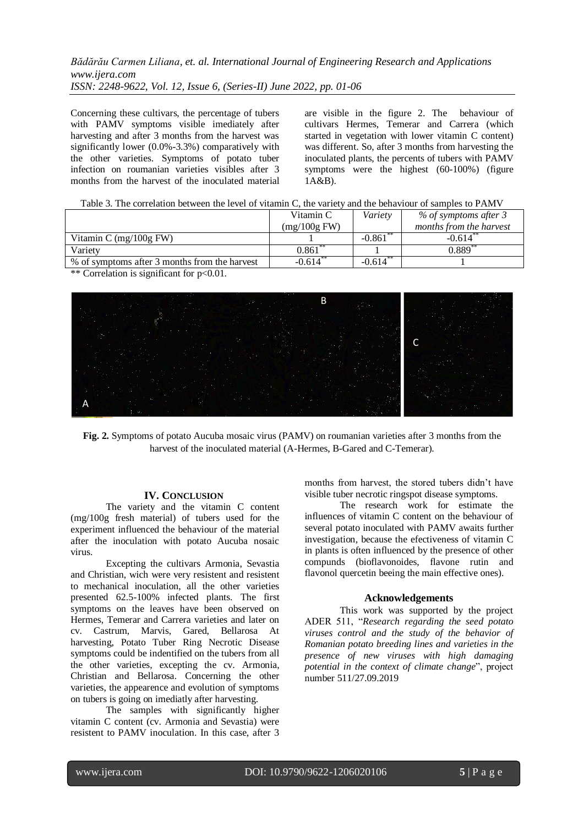Concerning these cultivars, the percentage of tubers with PAMV symptoms visible imediately after harvesting and after 3 months from the harvest was significantly lower (0.0%-3.3%) comparatively with the other varieties. Symptoms of potato tuber infection on roumanian varieties visibles after 3 months from the harvest of the inoculated material are visible in the figure 2. The behaviour of cultivars Hermes, Temerar and Carrera (which started in vegetation with lower vitamin C content) was different. So, after 3 months from harvesting the inoculated plants, the percents of tubers with PAMV symptoms were the highest (60-100%) (figure  $1A\&B$ ).

| Table 3. The correlation between the level of vitamin C, the variety and the behaviour of samples to PAMV |  |
|-----------------------------------------------------------------------------------------------------------|--|
|-----------------------------------------------------------------------------------------------------------|--|

| Vitamin C      | Variety  | % of symptoms after 3   |
|----------------|----------|-------------------------|
| $(mg/100g$ FW) |          | months from the harvest |
|                | $-0.861$ | $-0.614$                |
| 0.861          |          | $0.889**$               |
| $-0.614$       | $-0.614$ |                         |
|                |          |                         |

\*\* Correlation is significant for p<0.01.



**Fig. 2.** Symptoms of potato Aucuba mosaic virus (PAMV) on roumanian varieties after 3 months from the harvest of the inoculated material (A-Hermes, B-Gared and C-Temerar).

#### **IV. CONCLUSION**

The variety and the vitamin C content (mg/100g fresh material) of tubers used for the experiment influenced the behaviour of the material after the inoculation with potato Aucuba nosaic virus.

Excepting the cultivars Armonia, Sevastia and Christian, wich were very resistent and resistent to mechanical inoculation, all the other varieties presented 62.5-100% infected plants. The first symptoms on the leaves have been observed on Hermes, Temerar and Carrera varieties and later on cv. Castrum, Marvis, Gared, Bellarosa At harvesting, Potato Tuber Ring Necrotic Disease symptoms could be indentified on the tubers from all the other varieties, excepting the cv. Armonia, Christian and Bellarosa. Concerning the other varieties, the appearence and evolution of symptoms on tubers is going on imediatly after harvesting.

The samples with significantly higher vitamin C content (cv. Armonia and Sevastia) were resistent to PAMV inoculation. In this case, after 3

months from harvest, the stored tubers didn't have visible tuber necrotic ringspot disease symptoms.

The research work for estimate the influences of vitamin C content on the behaviour of several potato inoculated with PAMV awaits further investigation, because the efectiveness of vitamin C in plants is often influenced by the presence of other compunds (bioflavonoides, flavone rutin and flavonol quercetin beeing the main effective ones).

#### **Acknowledgements**

This work was supported by the project ADER 511, "*Research regarding the seed potato viruses control and the study of the behavior of Romanian potato breeding lines and varieties in the presence of new viruses with high damaging potential in the context of climate change*", project number 511/27.09.2019